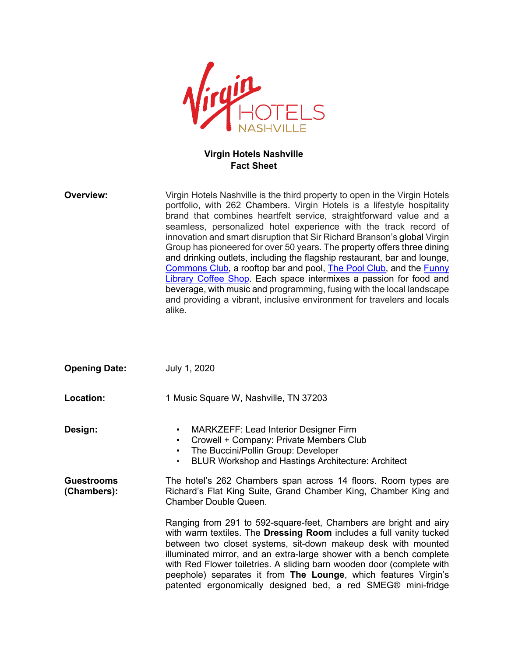

## **Virgin Hotels Nashville Fact Sheet**

| Overview:                        | Virgin Hotels Nashville is the third property to open in the Virgin Hotels<br>portfolio, with 262 Chambers. Virgin Hotels is a lifestyle hospitality<br>brand that combines heartfelt service, straightforward value and a<br>seamless, personalized hotel experience with the track record of<br>innovation and smart disruption that Sir Richard Branson's global Virgin<br>Group has pioneered for over 50 years. The property offers three dining<br>and drinking outlets, including the flagship restaurant, bar and lounge,<br>Commons Club, a rooftop bar and pool, The Pool Club, and the Funny<br>Library Coffee Shop. Each space intermixes a passion for food and<br>beverage, with music and programming, fusing with the local landscape<br>and providing a vibrant, inclusive environment for travelers and locals<br>alike. |
|----------------------------------|--------------------------------------------------------------------------------------------------------------------------------------------------------------------------------------------------------------------------------------------------------------------------------------------------------------------------------------------------------------------------------------------------------------------------------------------------------------------------------------------------------------------------------------------------------------------------------------------------------------------------------------------------------------------------------------------------------------------------------------------------------------------------------------------------------------------------------------------|
| <b>Opening Date:</b>             | July 1, 2020                                                                                                                                                                                                                                                                                                                                                                                                                                                                                                                                                                                                                                                                                                                                                                                                                               |
| <b>Location:</b>                 | 1 Music Square W, Nashville, TN 37203                                                                                                                                                                                                                                                                                                                                                                                                                                                                                                                                                                                                                                                                                                                                                                                                      |
| Design:                          | <b>MARKZEFF: Lead Interior Designer Firm</b><br>٠<br>Crowell + Company: Private Members Club<br>٠<br>The Buccini/Pollin Group: Developer<br>٠<br><b>BLUR Workshop and Hastings Architecture: Architect</b><br>٠                                                                                                                                                                                                                                                                                                                                                                                                                                                                                                                                                                                                                            |
| <b>Guestrooms</b><br>(Chambers): | The hotel's 262 Chambers span across 14 floors. Room types are<br>Richard's Flat King Suite, Grand Chamber King, Chamber King and<br>Chamber Double Queen.                                                                                                                                                                                                                                                                                                                                                                                                                                                                                                                                                                                                                                                                                 |

Ranging from 291 to 592-square-feet, Chambers are bright and airy with warm textiles. The **Dressing Room** includes a full vanity tucked between two closet systems, sit-down makeup desk with mounted illuminated mirror, and an extra-large shower with a bench complete with Red Flower toiletries. A sliding barn wooden door (complete with peephole) separates it from **The Lounge**, which features Virgin's patented ergonomically designed bed, a red SMEG® mini-fridge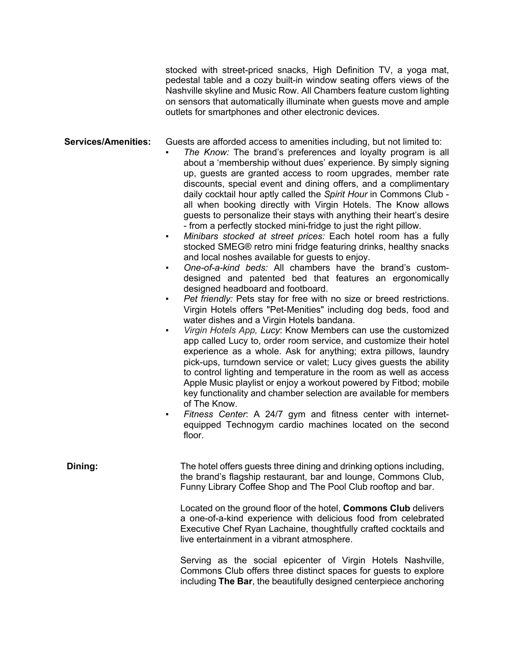stocked with street-priced snacks. High Definition TV, a yoga mat, pedestal table and a cozy built-in window seating offers views of the Nashville skyline and Music Row. All Chambers feature custom lighting on sensors that automatically illuminate when guests move and ample outlets for smartphones and other electronic devices.

**Services/Amenities:** Guests are afforded access to amenities including, but not limited to:

- The Know: The brand's preferences and loyalty program is all about a 'membership without dues' experience. By simply signing up, guests are granted access to room upgrades, member rate discounts, special event and dining offers, and a complimentary daily cocktail hour aptly called the *Spirit Hour* in Commons Club all when booking directly with Virgin Hotels. The Know allows guests to personalize their stays with anything their heart's desire - from a perfectly stocked mini-fridge to just the right pillow.
	- *Minibars stocked at street prices:* Each hotel room has a fully stocked SMEG® retro mini fridge featuring drinks, healthy snacks and local noshes available for guests to enjoy.
	- *One-of-a-kind beds:* All chambers have the brand's customdesigned and patented bed that features an ergonomically designed headboard and footboard.
	- Pet friendly: Pets stay for free with no size or breed restrictions. Virgin Hotels offers "Pet-Menities" including dog beds, food and water dishes and a Virgin Hotels bandana.
	- Virgin Hotels App, Lucy: Know Members can use the customized app called Lucy to, order room service, and customize their hotel experience as a whole. Ask for anything; extra pillows, laundry pick-ups, turndown service or valet; Lucy gives guests the ability to control lighting and temperature in the room as well as access Apple Music playlist or enjoy a workout powered by Fitbod; mobile key functionality and chamber selection are available for members of The Know.
	- Fitness Center: A 24/7 gym and fitness center with internetequipped Technogym cardio machines located on the second floor.

**Dining:** The hotel offers guests three dining and drinking options including, the brand's flagship restaurant, bar and lounge, Commons Club, Funny Library Coffee Shop and The Pool Club rooftop and bar.

> Located on the ground floor of the hotel, **Commons Club** delivers a one-of-a-kind experience with delicious food from celebrated Executive Chef Ryan Lachaine, thoughtfully crafted cocktails and live entertainment in a vibrant atmosphere.

> Serving as the social epicenter of Virgin Hotels Nashville, Commons Club offers three distinct spaces for guests to explore including **The Bar**, the beautifully designed centerpiece anchoring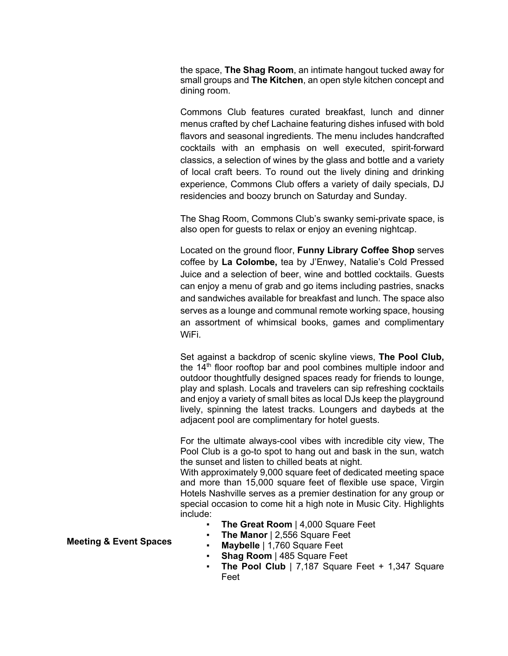the space, **The Shag Room**, an intimate hangout tucked away for small groups and **The Kitchen**, an open style kitchen concept and dining room.

Commons Club features curated breakfast, lunch and dinner menus crafted by chef Lachaine featuring dishes infused with bold flavors and seasonal ingredients. The menu includes handcrafted cocktails with an emphasis on well executed, spirit-forward classics, a selection of wines by the glass and bottle and a variety of local craft beers. To round out the lively dining and drinking experience, Commons Club offers a variety of daily specials, DJ residencies and boozy brunch on Saturday and Sunday.

The Shag Room, Commons Club's swanky semi-private space, is also open for guests to relax or enjoy an evening nightcap.

Located on the ground floor, **Funny Library Coffee Shop** serves coffee by **La Colombe,** tea by J'Enwey, Natalie's Cold Pressed Juice and a selection of beer, wine and bottled cocktails. Guests can enjoy a menu of grab and go items including pastries, snacks and sandwiches available for breakfast and lunch. The space also serves as a lounge and communal remote working space, housing an assortment of whimsical books, games and complimentary WiFi.

Set against a backdrop of scenic skyline views, **The Pool Club,**  the  $14<sup>th</sup>$  floor rooftop bar and pool combines multiple indoor and outdoor thoughtfully designed spaces ready for friends to lounge, play and splash. Locals and travelers can sip refreshing cocktails and enjoy a variety of small bites as local DJs keep the playground lively, spinning the latest tracks. Loungers and daybeds at the adjacent pool are complimentary for hotel guests.

For the ultimate always-cool vibes with incredible city view, The Pool Club is a go-to spot to hang out and bask in the sun, watch the sunset and listen to chilled beats at night.

With approximately 9,000 square feet of dedicated meeting space and more than 15,000 square feet of flexible use space, Virgin Hotels Nashville serves as a premier destination for any group or special occasion to come hit a high note in Music City. Highlights include:

- **The Great Room** | 4,000 Square Feet
- **The Manor** | 2,556 Square Feet
- **Maybelle** | 1,760 Square Feet
- **Shag Room** | 485 Square Feet
- **The Pool Club** | 7,187 Square Feet  $+$  1,347 Square Feet

## **Meeting & Event Spaces**